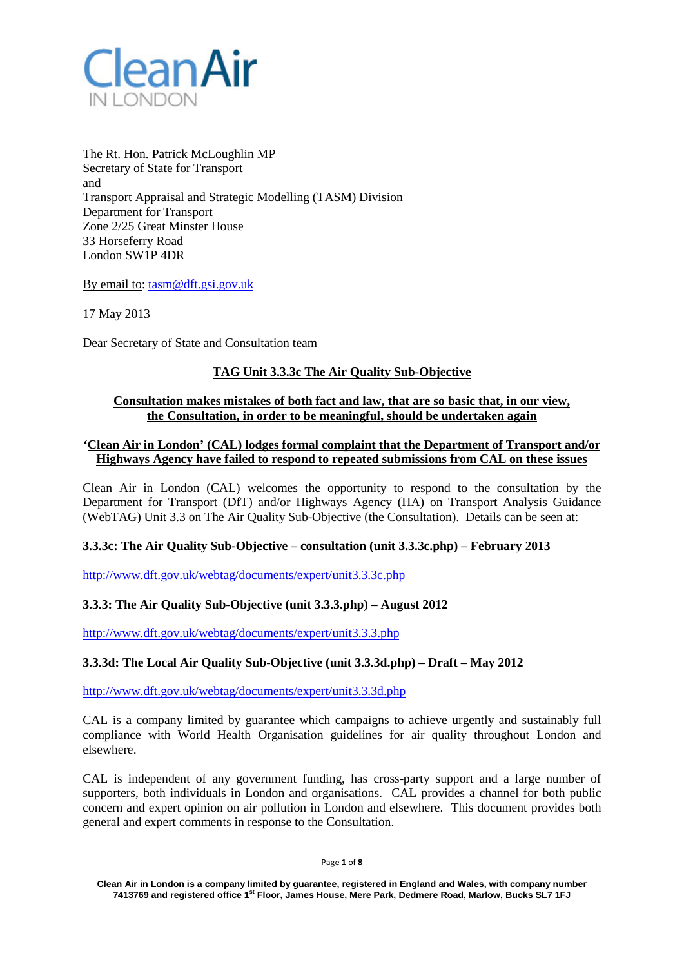

The Rt. Hon. Patrick McLoughlin MP Secretary of State for Transport and Transport Appraisal and Strategic Modelling (TASM) Division Department for Transport Zone 2/25 Great Minster House 33 Horseferry Road London SW1P 4DR

By email to: [tasm@dft.gsi.gov.uk](mailto:tasm@dft.gsi.gov.uk)

17 May 2013

Dear Secretary of State and Consultation team

# **TAG Unit 3.3.3c The Air Quality Sub-Objective**

### **Consultation makes mistakes of both fact and law, that are so basic that, in our view, the Consultation, in order to be meaningful, should be undertaken again**

## **'Clean Air in London' (CAL) lodges formal complaint that the Department of Transport and/or Highways Agency have failed to respond to repeated submissions from CAL on these issues**

Clean Air in London (CAL) welcomes the opportunity to respond to the consultation by the Department for Transport (DfT) and/or Highways Agency (HA) on Transport Analysis Guidance (WebTAG) Unit 3.3 on The Air Quality Sub-Objective (the Consultation). Details can be seen at:

### **3.3.3c: The Air Quality Sub-Objective – consultation (unit 3.3.3c.php) – February 2013**

<http://www.dft.gov.uk/webtag/documents/expert/unit3.3.3c.php>

### **3.3.3: The Air Quality Sub-Objective (unit 3.3.3.php) – August 2012**

<http://www.dft.gov.uk/webtag/documents/expert/unit3.3.3.php>

### **3.3.3d: The Local Air Quality Sub-Objective (unit 3.3.3d.php) – Draft – May 2012**

<http://www.dft.gov.uk/webtag/documents/expert/unit3.3.3d.php>

CAL is a company limited by guarantee which campaigns to achieve urgently and sustainably full compliance with World Health Organisation guidelines for air quality throughout London and elsewhere.

CAL is independent of any government funding, has cross-party support and a large number of supporters, both individuals in London and organisations. CAL provides a channel for both public concern and expert opinion on air pollution in London and elsewhere. This document provides both general and expert comments in response to the Consultation.

Page **1** of **8**

**Clean Air in London is a company limited by guarantee, registered in England and Wales, with company number 7413769 and registered office 1st Floor, James House, Mere Park, Dedmere Road, Marlow, Bucks SL7 1FJ**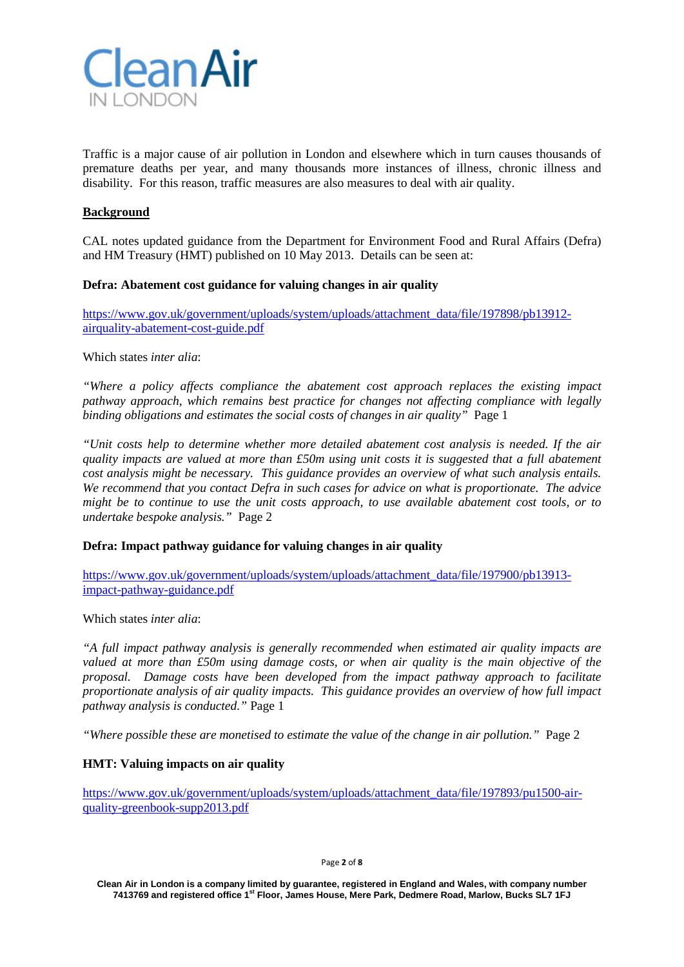

Traffic is a major cause of air pollution in London and elsewhere which in turn causes thousands of premature deaths per year, and many thousands more instances of illness, chronic illness and disability. For this reason, traffic measures are also measures to deal with air quality.

## **Background**

CAL notes updated guidance from the Department for Environment Food and Rural Affairs (Defra) and HM Treasury (HMT) published on 10 May 2013. Details can be seen at:

### **Defra: Abatement cost guidance for valuing changes in air quality**

[https://www.gov.uk/government/uploads/system/uploads/attachment\\_data/file/197898/pb13912](https://www.gov.uk/government/uploads/system/uploads/attachment_data/file/197898/pb13912-airquality-abatement-cost-guide.pdf) [airquality-abatement-cost-guide.pdf](https://www.gov.uk/government/uploads/system/uploads/attachment_data/file/197898/pb13912-airquality-abatement-cost-guide.pdf)

Which states *inter alia*:

*"Where a policy affects compliance the abatement cost approach replaces the existing impact pathway approach, which remains best practice for changes not affecting compliance with legally binding obligations and estimates the social costs of changes in air quality*" Page 1

*"Unit costs help to determine whether more detailed abatement cost analysis is needed. If the air quality impacts are valued at more than £50m using unit costs it is suggested that a full abatement cost analysis might be necessary. This guidance provides an overview of what such analysis entails. We recommend that you contact Defra in such cases for advice on what is proportionate. The advice might be to continue to use the unit costs approach, to use available abatement cost tools, or to undertake bespoke analysis."* Page 2

**Defra: Impact pathway guidance for valuing changes in air quality**

[https://www.gov.uk/government/uploads/system/uploads/attachment\\_data/file/197900/pb13913](https://www.gov.uk/government/uploads/system/uploads/attachment_data/file/197900/pb13913-impact-pathway-guidance.pdf) [impact-pathway-guidance.pdf](https://www.gov.uk/government/uploads/system/uploads/attachment_data/file/197900/pb13913-impact-pathway-guidance.pdf)

Which states *inter alia*:

*"A full impact pathway analysis is generally recommended when estimated air quality impacts are valued at more than £50m using damage costs, or when air quality is the main objective of the proposal. Damage costs have been developed from the impact pathway approach to facilitate proportionate analysis of air quality impacts. This guidance provides an overview of how full impact pathway analysis is conducted."* Page 1

*"Where possible these are monetised to estimate the value of the change in air pollution."* Page 2

### **HMT: Valuing impacts on air quality**

[https://www.gov.uk/government/uploads/system/uploads/attachment\\_data/file/197893/pu1500-air](https://www.gov.uk/government/uploads/system/uploads/attachment_data/file/197893/pu1500-air-quality-greenbook-supp2013.pdf)[quality-greenbook-supp2013.pdf](https://www.gov.uk/government/uploads/system/uploads/attachment_data/file/197893/pu1500-air-quality-greenbook-supp2013.pdf)

Page **2** of **8**

**Clean Air in London is a company limited by guarantee, registered in England and Wales, with company number 7413769 and registered office 1st Floor, James House, Mere Park, Dedmere Road, Marlow, Bucks SL7 1FJ**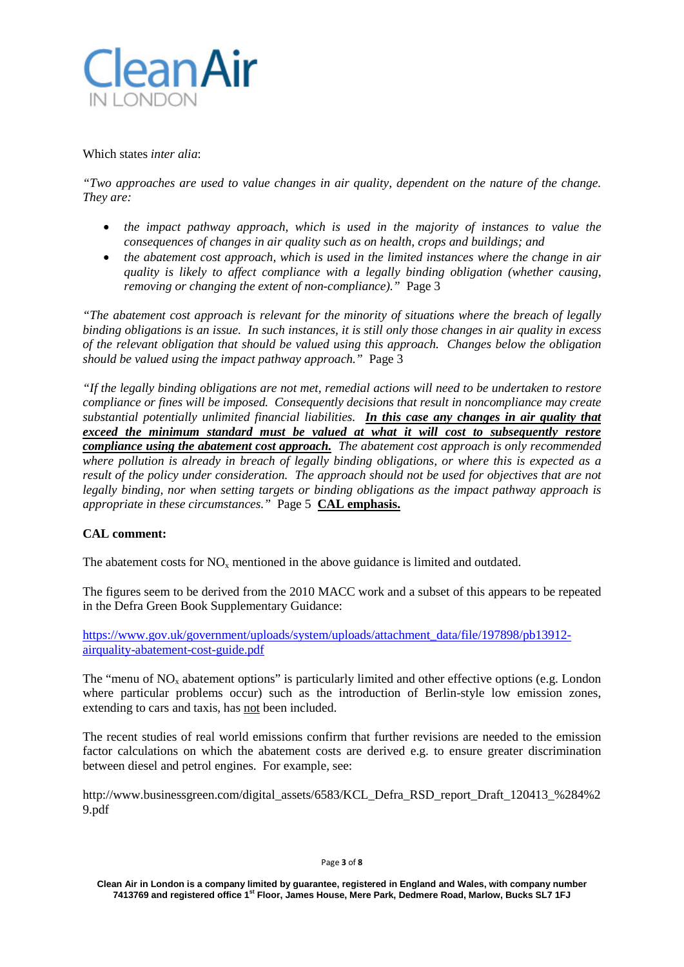

#### Which states *inter alia*:

*"Two approaches are used to value changes in air quality, dependent on the nature of the change. They are:*

- *the impact pathway approach, which is used in the majority of instances to value the consequences of changes in air quality such as on health, crops and buildings; and*
- *the abatement cost approach, which is used in the limited instances where the change in air quality is likely to affect compliance with a legally binding obligation (whether causing, removing or changing the extent of non-compliance)."* Page 3

*"The abatement cost approach is relevant for the minority of situations where the breach of legally binding obligations is an issue. In such instances, it is still only those changes in air quality in excess of the relevant obligation that should be valued using this approach. Changes below the obligation should be valued using the impact pathway approach."* Page 3

*"If the legally binding obligations are not met, remedial actions will need to be undertaken to restore compliance or fines will be imposed. Consequently decisions that result in noncompliance may create substantial potentially unlimited financial liabilities. In this case any changes in air quality that exceed the minimum standard must be valued at what it will cost to subsequently restore compliance using the abatement cost approach. The abatement cost approach is only recommended where pollution is already in breach of legally binding obligations, or where this is expected as a result of the policy under consideration. The approach should not be used for objectives that are not legally binding, nor when setting targets or binding obligations as the impact pathway approach is appropriate in these circumstances."* Page 5 **CAL emphasis.**

### **CAL comment:**

The abatement costs for  $NO<sub>x</sub>$  mentioned in the above guidance is limited and outdated.

The figures seem to be derived from the 2010 MACC work and a subset of this appears to be repeated in the Defra Green Book Supplementary Guidance:

[https://www.gov.uk/government/uploads/system/uploads/attachment\\_data/file/197898/pb13912](https://www.gov.uk/government/uploads/system/uploads/attachment_data/file/197898/pb13912-airquality-abatement-cost-guide.pdf) [airquality-abatement-cost-guide.pdf](https://www.gov.uk/government/uploads/system/uploads/attachment_data/file/197898/pb13912-airquality-abatement-cost-guide.pdf)

The "menu of  $NO<sub>x</sub>$  abatement options" is particularly limited and other effective options (e.g. London where particular problems occur) such as the introduction of Berlin-style low emission zones, extending to cars and taxis, has not been included.

The recent studies of real world emissions confirm that further revisions are needed to the emission factor calculations on which the abatement costs are derived e.g. to ensure greater discrimination between diesel and petrol engines. For example, see:

http://www.businessgreen.com/digital\_assets/6583/KCL\_Defra\_RSD\_report\_Draft\_120413\_%284%2 9.pdf

Page **3** of **8**

**Clean Air in London is a company limited by guarantee, registered in England and Wales, with company number 7413769 and registered office 1st Floor, James House, Mere Park, Dedmere Road, Marlow, Bucks SL7 1FJ**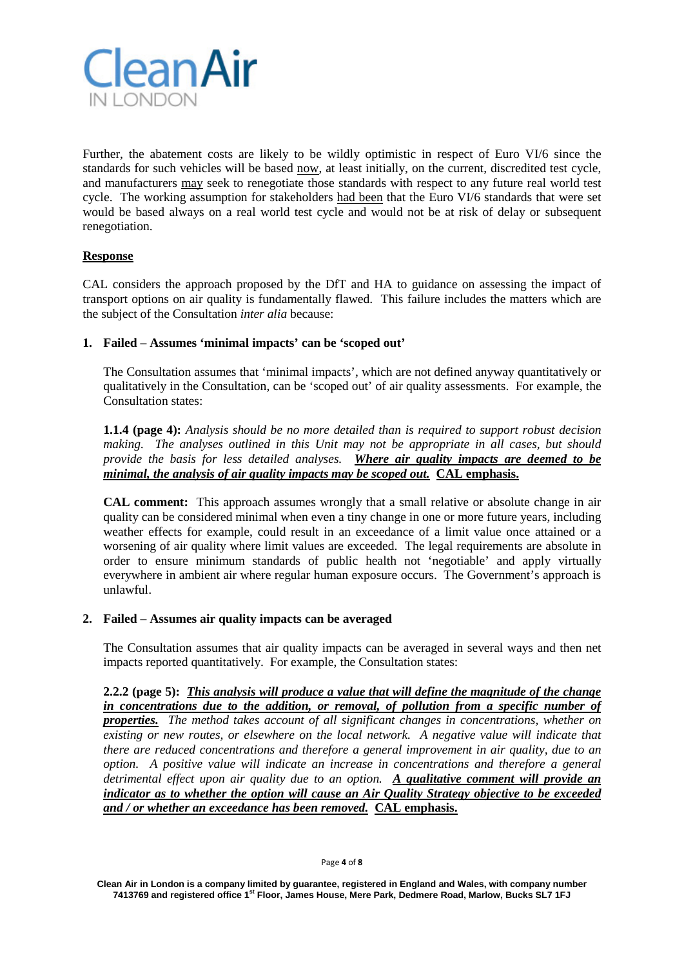

Further, the abatement costs are likely to be wildly optimistic in respect of Euro VI/6 since the standards for such vehicles will be based now, at least initially, on the current, discredited test cycle, and manufacturers may seek to renegotiate those standards with respect to any future real world test cycle. The working assumption for stakeholders had been that the Euro VI/6 standards that were set would be based always on a real world test cycle and would not be at risk of delay or subsequent renegotiation.

# **Response**

CAL considers the approach proposed by the DfT and HA to guidance on assessing the impact of transport options on air quality is fundamentally flawed. This failure includes the matters which are the subject of the Consultation *inter alia* because:

# **1. Failed – Assumes 'minimal impacts' can be 'scoped out'**

The Consultation assumes that 'minimal impacts', which are not defined anyway quantitatively or qualitatively in the Consultation, can be 'scoped out' of air quality assessments. For example, the Consultation states:

**1.1.4 (page 4):** *Analysis should be no more detailed than is required to support robust decision making. The analyses outlined in this Unit may not be appropriate in all cases, but should provide the basis for less detailed analyses. Where air quality impacts are deemed to be minimal, the analysis of air quality impacts may be scoped out.* **CAL emphasis.**

**CAL comment:** This approach assumes wrongly that a small relative or absolute change in air quality can be considered minimal when even a tiny change in one or more future years, including weather effects for example, could result in an exceedance of a limit value once attained or a worsening of air quality where limit values are exceeded. The legal requirements are absolute in order to ensure minimum standards of public health not 'negotiable' and apply virtually everywhere in ambient air where regular human exposure occurs. The Government's approach is unlawful.

### **2. Failed – Assumes air quality impacts can be averaged**

The Consultation assumes that air quality impacts can be averaged in several ways and then net impacts reported quantitatively. For example, the Consultation states:

**2.2.2 (page 5):** *This analysis will produce a value that will define the magnitude of the change in concentrations due to the addition, or removal, of pollution from a specific number of properties. The method takes account of all significant changes in concentrations, whether on existing or new routes, or elsewhere on the local network. A negative value will indicate that there are reduced concentrations and therefore a general improvement in air quality, due to an option. A positive value will indicate an increase in concentrations and therefore a general detrimental effect upon air quality due to an option. A qualitative comment will provide an indicator as to whether the option will cause an Air Quality Strategy objective to be exceeded and / or whether an exceedance has been removed.* **CAL emphasis.**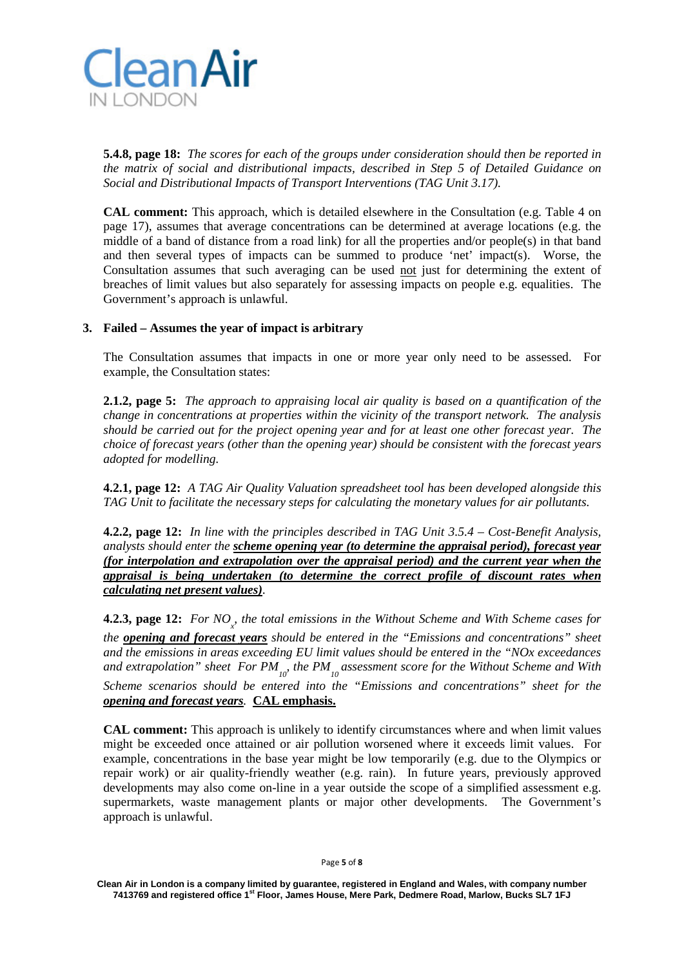

**5.4.8, page 18:** *The scores for each of the groups under consideration should then be reported in the matrix of social and distributional impacts, described in Step 5 of Detailed Guidance on Social and Distributional Impacts of Transport Interventions (TAG Unit 3.17).*

**CAL comment:** This approach, which is detailed elsewhere in the Consultation (e.g. Table 4 on page 17), assumes that average concentrations can be determined at average locations (e.g. the middle of a band of distance from a road link) for all the properties and/or people(s) in that band and then several types of impacts can be summed to produce 'net' impact(s). Worse, the Consultation assumes that such averaging can be used not just for determining the extent of breaches of limit values but also separately for assessing impacts on people e.g. equalities. The Government's approach is unlawful.

## **3. Failed – Assumes the year of impact is arbitrary**

The Consultation assumes that impacts in one or more year only need to be assessed. For example, the Consultation states:

**2.1.2, page 5:** *The approach to appraising local air quality is based on a quantification of the change in concentrations at properties within the vicinity of the transport network. The analysis should be carried out for the project opening year and for at least one other forecast year. The choice of forecast years (other than the opening year) should be consistent with the forecast years adopted for modelling.*

**4.2.1, page 12:** *A TAG Air Quality Valuation spreadsheet tool has been developed alongside this TAG Unit to facilitate the necessary steps for calculating the monetary values for air pollutants.*

**4.2.2, page 12:** *In line with the principles described in TAG Unit 3.5.4 – Cost-Benefit Analysis, analysts should enter the scheme opening year (to determine the appraisal period), forecast year (for interpolation and extrapolation over the appraisal period) and the current year when the appraisal is being undertaken (to determine the correct profile of discount rates when calculating net present values).* 

**4.2.3, page 12:** For NO<sub><sub>x</sub>, the total emissions in the Without Scheme and With Scheme cases for</sub>

*the opening and forecast years should be entered in the "Emissions and concentrations" sheet and the emissions in areas exceeding EU limit values should be entered in the "NOx exceedances*  and extrapolation" sheet For PM<sub>10</sub><sup>,</sup> the PM<sub>10</sub> assessment score for the Without Scheme and With

*Scheme scenarios should be entered into the "Emissions and concentrations" sheet for the opening and forecast years.* **CAL emphasis.**

**CAL comment:** This approach is unlikely to identify circumstances where and when limit values might be exceeded once attained or air pollution worsened where it exceeds limit values. For example, concentrations in the base year might be low temporarily (e.g. due to the Olympics or repair work) or air quality-friendly weather (e.g. rain). In future years, previously approved developments may also come on-line in a year outside the scope of a simplified assessment e.g. supermarkets, waste management plants or major other developments. The Government's approach is unlawful.

Page **5** of **8**

**Clean Air in London is a company limited by guarantee, registered in England and Wales, with company number 7413769 and registered office 1st Floor, James House, Mere Park, Dedmere Road, Marlow, Bucks SL7 1FJ**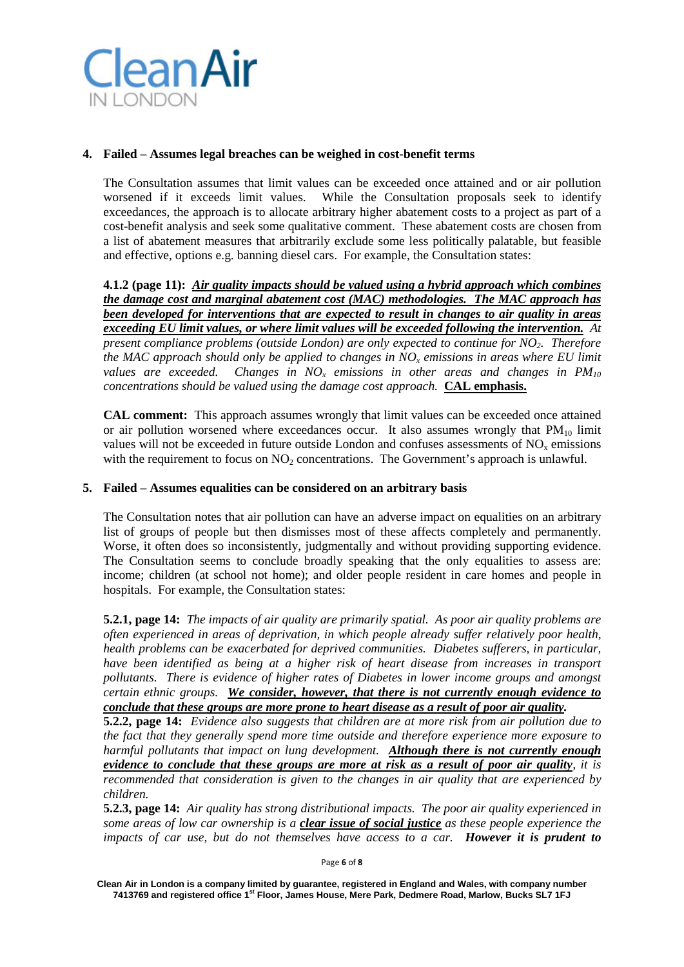

## **4. Failed – Assumes legal breaches can be weighed in cost-benefit terms**

The Consultation assumes that limit values can be exceeded once attained and or air pollution worsened if it exceeds limit values. While the Consultation proposals seek to identify exceedances, the approach is to allocate arbitrary higher abatement costs to a project as part of a cost-benefit analysis and seek some qualitative comment. These abatement costs are chosen from a list of abatement measures that arbitrarily exclude some less politically palatable, but feasible and effective, options e.g. banning diesel cars. For example, the Consultation states:

**4.1.2 (page 11):** *Air quality impacts should be valued using a hybrid approach which combines the damage cost and marginal abatement cost (MAC) methodologies. The MAC approach has been developed for interventions that are expected to result in changes to air quality in areas exceeding EU limit values, or where limit values will be exceeded following the intervention. At present compliance problems (outside London) are only expected to continue for NO2. Therefore the MAC approach should only be applied to changes in NOx emissions in areas where EU limit values are exceeded.* Changes in  $NO<sub>x</sub>$  *emissions in other areas and changes in PM*<sub>10</sub> *concentrations should be valued using the damage cost approach.* **CAL emphasis.**

**CAL comment:** This approach assumes wrongly that limit values can be exceeded once attained or air pollution worsened where exceedances occur. It also assumes wrongly that  $PM_{10}$  limit values will not be exceeded in future outside London and confuses assessments of  $NO<sub>x</sub>$  emissions with the requirement to focus on  $NO<sub>2</sub>$  concentrations. The Government's approach is unlawful.

### **5. Failed – Assumes equalities can be considered on an arbitrary basis**

The Consultation notes that air pollution can have an adverse impact on equalities on an arbitrary list of groups of people but then dismisses most of these affects completely and permanently. Worse, it often does so inconsistently, judgmentally and without providing supporting evidence. The Consultation seems to conclude broadly speaking that the only equalities to assess are: income; children (at school not home); and older people resident in care homes and people in hospitals. For example, the Consultation states:

**5.2.1, page 14:** *The impacts of air quality are primarily spatial. As poor air quality problems are often experienced in areas of deprivation, in which people already suffer relatively poor health, health problems can be exacerbated for deprived communities. Diabetes sufferers, in particular, have been identified as being at a higher risk of heart disease from increases in transport pollutants. There is evidence of higher rates of Diabetes in lower income groups and amongst certain ethnic groups. We consider, however, that there is not currently enough evidence to conclude that these groups are more prone to heart disease as a result of poor air quality.*

**5.2.2, page 14:** *Evidence also suggests that children are at more risk from air pollution due to the fact that they generally spend more time outside and therefore experience more exposure to harmful pollutants that impact on lung development. Although there is not currently enough evidence to conclude that these groups are more at risk as a result of poor air quality, it is recommended that consideration is given to the changes in air quality that are experienced by children.*

**5.2.3, page 14:** *Air quality has strong distributional impacts. The poor air quality experienced in some areas of low car ownership is a clear issue of social justice as these people experience the impacts of car use, but do not themselves have access to a car. However it is prudent to* 

Page **6** of **8**

**Clean Air in London is a company limited by guarantee, registered in England and Wales, with company number 7413769 and registered office 1st Floor, James House, Mere Park, Dedmere Road, Marlow, Bucks SL7 1FJ**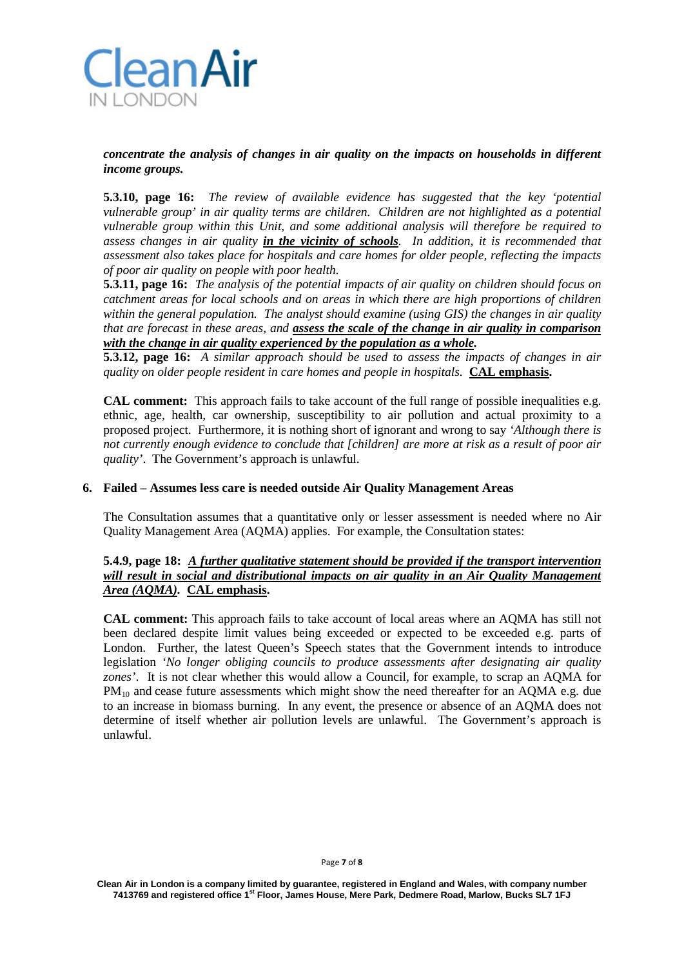

# *concentrate the analysis of changes in air quality on the impacts on households in different income groups.*

**5.3.10, page 16:** *The review of available evidence has suggested that the key 'potential vulnerable group' in air quality terms are children. Children are not highlighted as a potential vulnerable group within this Unit, and some additional analysis will therefore be required to assess changes in air quality in the vicinity of schools. In addition, it is recommended that assessment also takes place for hospitals and care homes for older people, reflecting the impacts of poor air quality on people with poor health.*

**5.3.11, page 16:** *The analysis of the potential impacts of air quality on children should focus on catchment areas for local schools and on areas in which there are high proportions of children within the general population. The analyst should examine (using GIS) the changes in air quality that are forecast in these areas, and assess the scale of the change in air quality in comparison with the change in air quality experienced by the population as a whole.*

**5.3.12, page 16:** *A similar approach should be used to assess the impacts of changes in air quality on older people resident in care homes and people in hospitals.* **CAL emphasis.**

**CAL comment:** This approach fails to take account of the full range of possible inequalities e.g. ethnic, age, health, car ownership, susceptibility to air pollution and actual proximity to a proposed project. Furthermore, it is nothing short of ignorant and wrong to say *'Although there is not currently enough evidence to conclude that [children] are more at risk as a result of poor air quality'*. The Government's approach is unlawful.

#### **6. Failed – Assumes less care is needed outside Air Quality Management Areas**

The Consultation assumes that a quantitative only or lesser assessment is needed where no Air Quality Management Area (AQMA) applies. For example, the Consultation states:

## **5.4.9, page 18:** *A further qualitative statement should be provided if the transport intervention will result in social and distributional impacts on air quality in an Air Quality Management Area (AQMA).* **CAL emphasis.**

**CAL comment:** This approach fails to take account of local areas where an AQMA has still not been declared despite limit values being exceeded or expected to be exceeded e.g. parts of London. Further, the latest Queen's Speech states that the Government intends to introduce legislation *'No longer obliging councils to produce assessments after designating air quality zones'*. It is not clear whether this would allow a Council, for example, to scrap an AQMA for PM<sub>10</sub> and cease future assessments which might show the need thereafter for an AQMA e.g. due to an increase in biomass burning. In any event, the presence or absence of an AQMA does not determine of itself whether air pollution levels are unlawful. The Government's approach is unlawful.